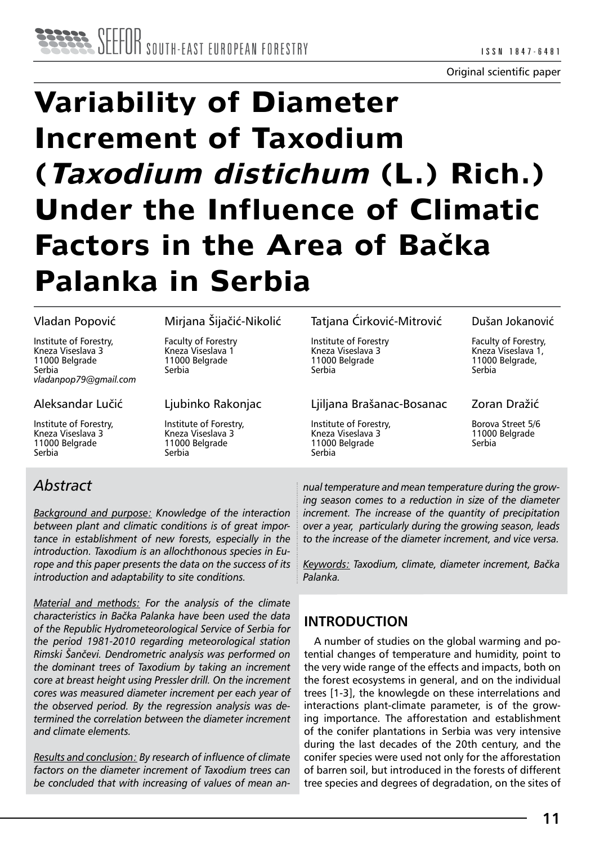# **Variability of Diameter Increment of Taxodium (Taxodium distichum (L.) Rich.) Under the Influence of Climatic Factors in the Area of Bačka Palanka in Serbia**

#### Vladan Popović

Institute of Forestry, Kneza Viseslava 3 11000 Belgrade Serbia *vladanpop79@gmail.com*

#### Aleksandar Lučić

Institute of Forestry, Kneza Viseslava 3 11000 Belgrade Serbia

#### Mirjana Šijačić-Nikolić

Faculty of Forestry Kneza Viseslava 1 11000 Belgrade Serbia

Ljubinko Rakonjac

Institute of Forestry, Kneza Viseslava 3 11000 Belgrade Serbia

#### Tatjana Ćirković-Mitrović

Institute of Forestry Kneza Viseslava 3 11000 Belgrade Serbia

#### Ljiljana Brašanac-Bosanac

Institute of Forestry, Kneza Viseslava 3 11000 Belgrade Serbia

#### Dušan Jokanović

Faculty of Forestry, Kneza Viseslava 1, 11000 Belgrade, Serbia

#### Zoran Dražić

Borova Street 5/6 11000 Belgrade Serbia

## *Abstract*

*Background and purpose: Knowledge of the interaction between plant and climatic conditions is of great importance in establishment of new forests, especially in the introduction. Taxodium is an allochthonous species in Europe and this paper presents the data on the success of its introduction and adaptability to site conditions.* 

*Material and methods: For the analysis of the climate characteristics in Bačka Palanka have been used the data of the Republic Hydrometeorological Service of Serbia for the period 1981-2010 regarding meteorological station Rimski Šančevi. Dendrometric analysis was performed on the dominant trees of Taxodium by taking an increment core at breast height using Pressler drill. On the increment cores was measured diameter increment per each year of the observed period. By the regression analysis was determined the correlation between the diameter increment and climate elements.*

*Results and conclusion: By research of influence of climate factors on the diameter increment of Taxodium trees can be concluded that with increasing of values of mean an-* *nual temperature and mean temperature during the growing season comes to a reduction in size of the diameter increment. The increase of the quantity of precipitation over a year, particularly during the growing season, leads to the increase of the diameter increment, and vice versa.*

*Keywords: Taxodium, climate, diameter increment, Bačka Palanka.*

## **INTRODUCTION**

A number of studies on the global warming and potential changes of temperature and humidity, point to the very wide range of the effects and impacts, both on the forest ecosystems in general, and on the individual trees [1-3], the knowlegde on these interrelations and interactions plant-climate parameter, is of the growing importance. The afforestation and establishment of the conifer plantations in Serbia was very intensive during the last decades of the 20th century, and the conifer species were used not only for the afforestation of barren soil, but introduced in the forests of different tree species and degrees of degradation, on the sites of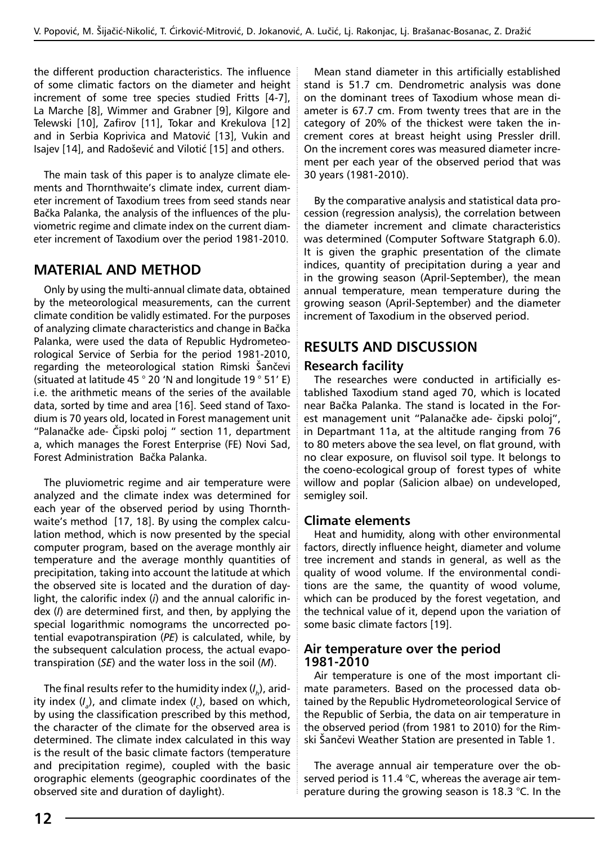the different production characteristics. The influence of some climatic factors on the diameter and height increment of some tree species studied Fritts [4-7], La Marche [8], Wimmer and Grabner [9], Kilgore and Telewski [10], Zafirov [11], Tokar and Krekulova [12] and in Serbia Koprivica and Matović [13], Vukin and Isajev [14], and Radošević and Vilotić [15] and others.

The main task of this paper is to analyze climate elements and Thornthwaite's climate index, current diameter increment of Taxodium trees from seed stands near Bačka Palanka, the analysis of the influences of the pluviometric regime and climate index on the current diameter increment of Taxodium over the period 1981-2010.

## **MATERIAL AND METHOD**

Only by using the multi-annual climate data, obtained by the meteorological measurements, can the current climate condition be validly estimated. For the purposes of analyzing climate characteristics and change in Bačka Palanka, were used the data of Republic Hydrometeorological Service of Serbia for the period 1981-2010, regarding the meteorological station Rimski Šančevi (situated at latitude 45 ° 20 'N and longitude 19 ° 51' E) i.e. the arithmetic means of the series of the available data, sorted by time and area [16]. Seed stand of Taxodium is 70 years old, located in Forest management unit "Palanačke ade- Čipski poloj " section 11, department a, which manages the Forest Enterprise (FE) Novi Sad, Forest Administration Bačka Palanka.

The pluviometric regime and air temperature were analyzed and the climate index was determined for each year of the observed period by using Thornthwaite's method [17, 18]. By using the complex calculation method, which is now presented by the special computer program, based on the average monthly air temperature and the average monthly quantities of precipitation, taking into account the latitude at which the observed site is located and the duration of daylight, the calorific index (*i*) and the annual calorific index (*I*) are determined first, and then, by applying the special logarithmic nomograms the uncorrected potential evapotranspiration (*PE*) is calculated, while, by the subsequent calculation process, the actual evapotranspiration (*SE*) and the water loss in the soil (*M*).

The final results refer to the humidity index (*I h*), aridity index (*I a* ), and climate index (*I c* ), based on which, by using the classification prescribed by this method, the character of the climate for the observed area is determined. The climate index calculated in this way is the result of the basic climate factors (temperature and precipitation regime), coupled with the basic orographic elements (geographic coordinates of the observed site and duration of daylight).

Mean stand diameter in this artificially established stand is 51.7 cm. Dendrometric analysis was done on the dominant trees of Taxodium whose mean diameter is 67.7 cm. From twenty trees that are in the category of 20% of the thickest were taken the increment cores at breast height using Pressler drill. On the increment cores was measured diameter increment per each year of the observed period that was 30 years (1981-2010).

By the comparative analysis and statistical data procession (regression analysis), the correlation between the diameter increment and climate characteristics was determined (Computer Software Statgraph 6.0). It is given the graphic presentation of the climate indices, quantity of precipitation during a year and in the growing season (April-September), the mean annual temperature, mean temperature during the growing season (April-September) and the diameter increment of Taxodium in the observed period.

# **RESULTS AND DISCUSSION**

## **Research facility**

The researches were conducted in artificially established Taxodium stand aged 70, which is located near Bačka Palanka. The stand is located in the Forest management unit "Palanačke ade- čipski poloj", in Departmant 11a, at the altitude ranging from 76 to 80 meters above the sea level, on flat ground, with no clear exposure, on fluvisol soil type. It belongs to the coeno-ecological group of forest types of white willow and poplar (Salicion albae) on undeveloped, semigley soil.

## **Climate elements**

Heat and humidity, along with other environmental factors, directly influence height, diameter and volume tree increment and stands in general, as well as the quality of wood volume. If the environmental conditions are the same, the quantity of wood volume, which can be produced by the forest vegetation, and the technical value of it, depend upon the variation of some basic climate factors [19].

#### **Air temperature over the period 1981-2010**

Air temperature is one of the most important climate parameters. Based on the processed data obtained by the Republic Hydrometeorological Service of the Republic of Serbia, the data on air temperature in the observed period (from 1981 to 2010) for the Rimski Šančevi Weather Station are presented in Table 1.

The average annual air temperature over the observed period is 11.4 °C, whereas the average air temperature during the growing season is 18.3 °C. In the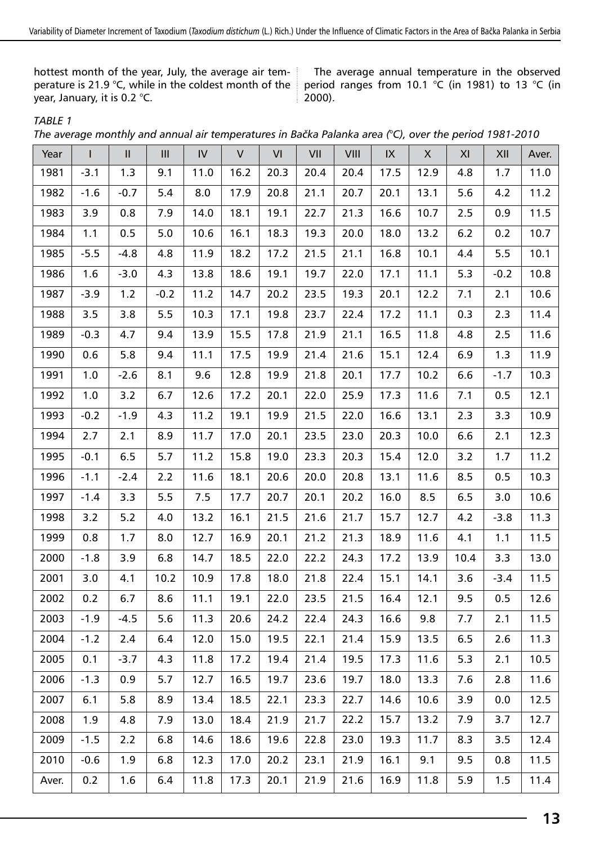hottest month of the year, July, the average air temperature is 21.9 °C, while in the coldest month of the year, January, it is 0.2 °C.

The average annual temperature in the observed period ranges from 10.1 °C (in 1981) to 13 °C (in ).

#### *TABLE 1*

| The average monthly and annual air temperatures in Bačka Palanka area (°C), over the period 1981-2010 |  |  |  |
|-------------------------------------------------------------------------------------------------------|--|--|--|
|                                                                                                       |  |  |  |

| Year  | $\mathsf{I}$ | $\mathsf{I}\mathsf{I}$ | Ш      | ${\sf IV}$ | $\vee$ | VI   | VII  | VIII | ${\sf IX}$ | $\boldsymbol{\mathsf{X}}$ | XI   | XII    | Aver. |
|-------|--------------|------------------------|--------|------------|--------|------|------|------|------------|---------------------------|------|--------|-------|
| 1981  | $-3.1$       | 1.3                    | 9.1    | 11.0       | 16.2   | 20.3 | 20.4 | 20.4 | 17.5       | 12.9                      | 4.8  | 1.7    | 11.0  |
| 1982  | $-1.6$       | $-0.7$                 | 5.4    | 8.0        | 17.9   | 20.8 | 21.1 | 20.7 | 20.1       | 13.1                      | 5.6  | 4.2    | 11.2  |
| 1983  | 3.9          | 0.8                    | 7.9    | 14.0       | 18.1   | 19.1 | 22.7 | 21.3 | 16.6       | 10.7                      | 2.5  | 0.9    | 11.5  |
| 1984  | 1.1          | 0.5                    | 5.0    | 10.6       | 16.1   | 18.3 | 19.3 | 20.0 | 18.0       | 13.2                      | 6.2  | 0.2    | 10.7  |
| 1985  | $-5.5$       | $-4.8$                 | 4.8    | 11.9       | 18.2   | 17.2 | 21.5 | 21.1 | 16.8       | 10.1                      | 4.4  | 5.5    | 10.1  |
| 1986  | 1.6          | $-3.0$                 | 4.3    | 13.8       | 18.6   | 19.1 | 19.7 | 22.0 | 17.1       | 11.1                      | 5.3  | $-0.2$ | 10.8  |
| 1987  | $-3.9$       | 1.2                    | $-0.2$ | 11.2       | 14.7   | 20.2 | 23.5 | 19.3 | 20.1       | 12.2                      | 7.1  | 2.1    | 10.6  |
| 1988  | 3.5          | 3.8                    | 5.5    | 10.3       | 17.1   | 19.8 | 23.7 | 22.4 | 17.2       | 11.1                      | 0.3  | 2.3    | 11.4  |
| 1989  | $-0.3$       | 4.7                    | 9.4    | 13.9       | 15.5   | 17.8 | 21.9 | 21.1 | 16.5       | 11.8                      | 4.8  | 2.5    | 11.6  |
| 1990  | 0.6          | 5.8                    | 9.4    | 11.1       | 17.5   | 19.9 | 21.4 | 21.6 | 15.1       | 12.4                      | 6.9  | 1.3    | 11.9  |
| 1991  | 1.0          | $-2.6$                 | 8.1    | 9.6        | 12.8   | 19.9 | 21.8 | 20.1 | 17.7       | 10.2                      | 6.6  | $-1.7$ | 10.3  |
| 1992  | 1.0          | 3.2                    | 6.7    | 12.6       | 17.2   | 20.1 | 22.0 | 25.9 | 17.3       | 11.6                      | 7.1  | 0.5    | 12.1  |
| 1993  | $-0.2$       | $-1.9$                 | 4.3    | 11.2       | 19.1   | 19.9 | 21.5 | 22.0 | 16.6       | 13.1                      | 2.3  | 3.3    | 10.9  |
| 1994  | 2.7          | 2.1                    | 8.9    | 11.7       | 17.0   | 20.1 | 23.5 | 23.0 | 20.3       | 10.0                      | 6.6  | 2.1    | 12.3  |
| 1995  | $-0.1$       | 6.5                    | 5.7    | 11.2       | 15.8   | 19.0 | 23.3 | 20.3 | 15.4       | 12.0                      | 3.2  | 1.7    | 11.2  |
| 1996  | $-1.1$       | $-2.4$                 | 2.2    | 11.6       | 18.1   | 20.6 | 20.0 | 20.8 | 13.1       | 11.6                      | 8.5  | 0.5    | 10.3  |
| 1997  | $-1.4$       | 3.3                    | 5.5    | 7.5        | 17.7   | 20.7 | 20.1 | 20.2 | 16.0       | 8.5                       | 6.5  | 3.0    | 10.6  |
| 1998  | 3.2          | 5.2                    | 4.0    | 13.2       | 16.1   | 21.5 | 21.6 | 21.7 | 15.7       | 12.7                      | 4.2  | $-3.8$ | 11.3  |
| 1999  | 0.8          | 1.7                    | 8.0    | 12.7       | 16.9   | 20.1 | 21.2 | 21.3 | 18.9       | 11.6                      | 4.1  | 1.1    | 11.5  |
| 2000  | $-1.8$       | 3.9                    | 6.8    | 14.7       | 18.5   | 22.0 | 22.2 | 24.3 | 17.2       | 13.9                      | 10.4 | 3.3    | 13.0  |
| 2001  | 3.0          | 4.1                    | 10.2   | 10.9       | 17.8   | 18.0 | 21.8 | 22.4 | 15.1       | 14.1                      | 3.6  | -3.4   | 11.5  |
| 2002  | 0.2          | 6.7                    | 8.6    | 11.1       | 19.1   | 22.0 | 23.5 | 21.5 | 16.4       | 12.1                      | 9.5  | 0.5    | 12.6  |
| 2003  | $-1.9$       | $-4.5$                 | 5.6    | 11.3       | 20.6   | 24.2 | 22.4 | 24.3 | 16.6       | 9.8                       | 7.7  | 2.1    | 11.5  |
| 2004  | $-1.2$       | 2.4                    | 6.4    | 12.0       | 15.0   | 19.5 | 22.1 | 21.4 | 15.9       | 13.5                      | 6.5  | 2.6    | 11.3  |
| 2005  | 0.1          | $-3.7$                 | 4.3    | 11.8       | 17.2   | 19.4 | 21.4 | 19.5 | 17.3       | 11.6                      | 5.3  | 2.1    | 10.5  |
| 2006  | $-1.3$       | 0.9                    | $5.7$  | 12.7       | 16.5   | 19.7 | 23.6 | 19.7 | 18.0       | 13.3                      | 7.6  | 2.8    | 11.6  |
| 2007  | 6.1          | 5.8                    | 8.9    | 13.4       | 18.5   | 22.1 | 23.3 | 22.7 | 14.6       | 10.6                      | 3.9  | 0.0    | 12.5  |
| 2008  | 1.9          | 4.8                    | 7.9    | 13.0       | 18.4   | 21.9 | 21.7 | 22.2 | 15.7       | 13.2                      | 7.9  | 3.7    | 12.7  |
| 2009  | $-1.5$       | 2.2                    | 6.8    | 14.6       | 18.6   | 19.6 | 22.8 | 23.0 | 19.3       | 11.7                      | 8.3  | 3.5    | 12.4  |
| 2010  | $-0.6$       | 1.9                    | 6.8    | 12.3       | 17.0   | 20.2 | 23.1 | 21.9 | 16.1       | 9.1                       | 9.5  | 0.8    | 11.5  |
| Aver. | 0.2          | 1.6                    | 6.4    | 11.8       | 17.3   | 20.1 | 21.9 | 21.6 | 16.9       | 11.8                      | 5.9  | 1.5    | 11.4  |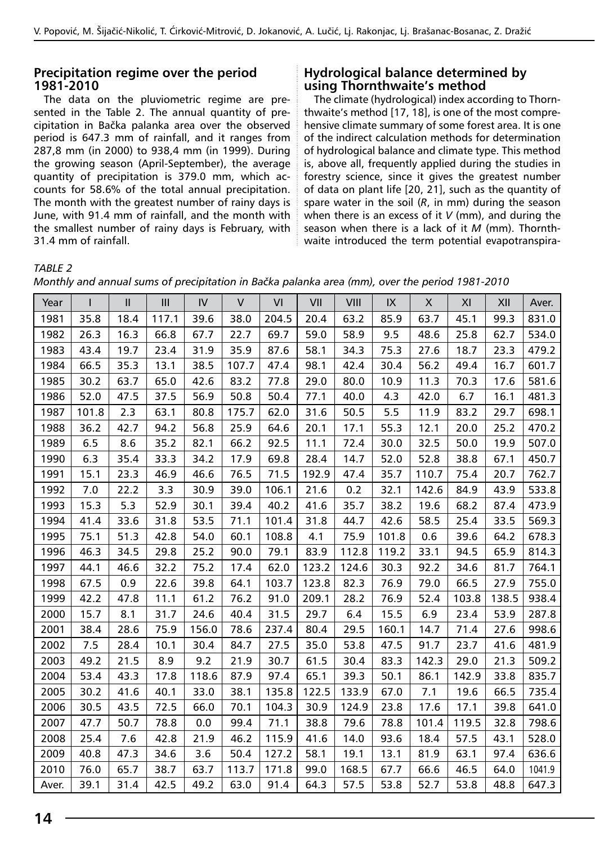#### **Precipitation regime over the period 1981-2010**

The data on the pluviometric regime are presented in the Table 2. The annual quantity of precipitation in Bačka palanka area over the observed period is 647.3 mm of rainfall, and it ranges from 287,8 mm (in 2000) to 938,4 mm (in 1999). During the growing season (April-September), the average quantity of precipitation is 379.0 mm, which accounts for 58.6% of the total annual precipitation. The month with the greatest number of rainy days is June, with 91.4 mm of rainfall, and the month with the smallest number of rainy days is February, with 31.4 mm of rainfall.

#### **Hydrological balance determined by using Thornthwaite's method**

The climate (hydrological) index according to Thornthwaite's method [17, 18], is one of the most comprehensive climate summary of some forest area. It is one of the indirect calculation methods for determination of hydrological balance and climate type. This method is, above all, frequently applied during the studies in forestry science, since it gives the greatest number of data on plant life [20, 21], such as the quantity of spare water in the soil (*R*, in mm) during the season when there is an excess of it *V* (mm), and during the season when there is a lack of it *M* (mm). Thornthwaite introduced the term potential evapotranspira-

#### *TABLE 2*

| Monthly and annual sums of precipitation in Bačka palanka area (mm), over the period 1981-2010 |  |  |  |
|------------------------------------------------------------------------------------------------|--|--|--|
|                                                                                                |  |  |  |

| Year  | I     | $\mathsf{I}$ | III   | IV    | V     | VI    | VII   | VIII  | IX    | X     | XI    | XII   | Aver.  |
|-------|-------|--------------|-------|-------|-------|-------|-------|-------|-------|-------|-------|-------|--------|
| 1981  | 35.8  | 18.4         | 117.1 | 39.6  | 38.0  | 204.5 | 20.4  | 63.2  | 85.9  | 63.7  | 45.1  | 99.3  | 831.0  |
| 1982  | 26.3  | 16.3         | 66.8  | 67.7  | 22.7  | 69.7  | 59.0  | 58.9  | 9.5   | 48.6  | 25.8  | 62.7  | 534.0  |
| 1983  | 43.4  | 19.7         | 23.4  | 31.9  | 35.9  | 87.6  | 58.1  | 34.3  | 75.3  | 27.6  | 18.7  | 23.3  | 479.2  |
| 1984  | 66.5  | 35.3         | 13.1  | 38.5  | 107.7 | 47.4  | 98.1  | 42.4  | 30.4  | 56.2  | 49.4  | 16.7  | 601.7  |
| 1985  | 30.2  | 63.7         | 65.0  | 42.6  | 83.2  | 77.8  | 29.0  | 80.0  | 10.9  | 11.3  | 70.3  | 17.6  | 581.6  |
| 1986  | 52.0  | 47.5         | 37.5  | 56.9  | 50.8  | 50.4  | 77.1  | 40.0  | 4.3   | 42.0  | 6.7   | 16.1  | 481.3  |
| 1987  | 101.8 | 2.3          | 63.1  | 80.8  | 175.7 | 62.0  | 31.6  | 50.5  | 5.5   | 11.9  | 83.2  | 29.7  | 698.1  |
| 1988  | 36.2  | 42.7         | 94.2  | 56.8  | 25.9  | 64.6  | 20.1  | 17.1  | 55.3  | 12.1  | 20.0  | 25.2  | 470.2  |
| 1989  | 6.5   | 8.6          | 35.2  | 82.1  | 66.2  | 92.5  | 11.1  | 72.4  | 30.0  | 32.5  | 50.0  | 19.9  | 507.0  |
| 1990  | 6.3   | 35.4         | 33.3  | 34.2  | 17.9  | 69.8  | 28.4  | 14.7  | 52.0  | 52.8  | 38.8  | 67.1  | 450.7  |
| 1991  | 15.1  | 23.3         | 46.9  | 46.6  | 76.5  | 71.5  | 192.9 | 47.4  | 35.7  | 110.7 | 75.4  | 20.7  | 762.7  |
| 1992  | 7.0   | 22.2         | 3.3   | 30.9  | 39.0  | 106.1 | 21.6  | 0.2   | 32.1  | 142.6 | 84.9  | 43.9  | 533.8  |
| 1993  | 15.3  | 5.3          | 52.9  | 30.1  | 39.4  | 40.2  | 41.6  | 35.7  | 38.2  | 19.6  | 68.2  | 87.4  | 473.9  |
| 1994  | 41.4  | 33.6         | 31.8  | 53.5  | 71.1  | 101.4 | 31.8  | 44.7  | 42.6  | 58.5  | 25.4  | 33.5  | 569.3  |
| 1995  | 75.1  | 51.3         | 42.8  | 54.0  | 60.1  | 108.8 | 4.1   | 75.9  | 101.8 | 0.6   | 39.6  | 64.2  | 678.3  |
| 1996  | 46.3  | 34.5         | 29.8  | 25.2  | 90.0  | 79.1  | 83.9  | 112.8 | 119.2 | 33.1  | 94.5  | 65.9  | 814.3  |
| 1997  | 44.1  | 46.6         | 32.2  | 75.2  | 17.4  | 62.0  | 123.2 | 124.6 | 30.3  | 92.2  | 34.6  | 81.7  | 764.1  |
| 1998  | 67.5  | 0.9          | 22.6  | 39.8  | 64.1  | 103.7 | 123.8 | 82.3  | 76.9  | 79.0  | 66.5  | 27.9  | 755.0  |
| 1999  | 42.2  | 47.8         | 11.1  | 61.2  | 76.2  | 91.0  | 209.1 | 28.2  | 76.9  | 52.4  | 103.8 | 138.5 | 938.4  |
| 2000  | 15.7  | 8.1          | 31.7  | 24.6  | 40.4  | 31.5  | 29.7  | 6.4   | 15.5  | 6.9   | 23.4  | 53.9  | 287.8  |
| 2001  | 38.4  | 28.6         | 75.9  | 156.0 | 78.6  | 237.4 | 80.4  | 29.5  | 160.1 | 14.7  | 71.4  | 27.6  | 998.6  |
| 2002  | 7.5   | 28.4         | 10.1  | 30.4  | 84.7  | 27.5  | 35.0  | 53.8  | 47.5  | 91.7  | 23.7  | 41.6  | 481.9  |
| 2003  | 49.2  | 21.5         | 8.9   | 9.2   | 21.9  | 30.7  | 61.5  | 30.4  | 83.3  | 142.3 | 29.0  | 21.3  | 509.2  |
| 2004  | 53.4  | 43.3         | 17.8  | 118.6 | 87.9  | 97.4  | 65.1  | 39.3  | 50.1  | 86.1  | 142.9 | 33.8  | 835.7  |
| 2005  | 30.2  | 41.6         | 40.1  | 33.0  | 38.1  | 135.8 | 122.5 | 133.9 | 67.0  | 7.1   | 19.6  | 66.5  | 735.4  |
| 2006  | 30.5  | 43.5         | 72.5  | 66.0  | 70.1  | 104.3 | 30.9  | 124.9 | 23.8  | 17.6  | 17.1  | 39.8  | 641.0  |
| 2007  | 47.7  | 50.7         | 78.8  | 0.0   | 99.4  | 71.1  | 38.8  | 79.6  | 78.8  | 101.4 | 119.5 | 32.8  | 798.6  |
| 2008  | 25.4  | 7.6          | 42.8  | 21.9  | 46.2  | 115.9 | 41.6  | 14.0  | 93.6  | 18.4  | 57.5  | 43.1  | 528.0  |
| 2009  | 40.8  | 47.3         | 34.6  | 3.6   | 50.4  | 127.2 | 58.1  | 19.1  | 13.1  | 81.9  | 63.1  | 97.4  | 636.6  |
| 2010  | 76.0  | 65.7         | 38.7  | 63.7  | 113.7 | 171.8 | 99.0  | 168.5 | 67.7  | 66.6  | 46.5  | 64.0  | 1041.9 |
| Aver. | 39.1  | 31.4         | 42.5  | 49.2  | 63.0  | 91.4  | 64.3  | 57.5  | 53.8  | 52.7  | 53.8  | 48.8  | 647.3  |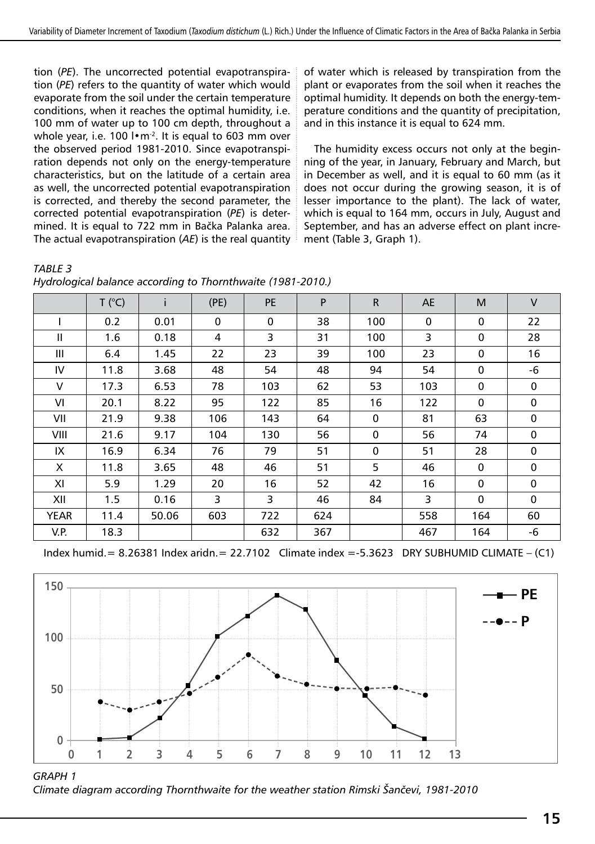tion (*PE*). The uncorrected potential evapotranspiration (*PE*) refers to the quantity of water which would evaporate from the soil under the certain temperature conditions, when it reaches the optimal humidity, i.e. 100 mm of water up to 100 cm depth, throughout a whole year, i.e. 100 l•m<sup>-2</sup>. It is equal to 603 mm over the observed period 1981-2010. Since evapotranspiration depends not only on the energy-temperature characteristics, but on the latitude of a certain area as well, the uncorrected potential evapotranspiration is corrected, and thereby the second parameter, the corrected potential evapotranspiration (*PE*) is determined. It is equal to 722 mm in Bačka Palanka area. The actual evapotranspiration (*AE*) is the real quantity

of water which is released by transpiration from the plant or evaporates from the soil when it reaches the optimal humidity. It depends on both the energy-temperature conditions and the quantity of precipitation, and in this instance it is equal to 624 mm.

The humidity excess occurs not only at the beginning of the year, in January, February and March, but in December as well, and it is equal to 60 mm (as it does not occur during the growing season, it is of lesser importance to the plant). The lack of water, which is equal to 164 mm, occurs in July, August and September, and has an adverse effect on plant increment (Table 3, Graph 1).

|  |  | Hydrological balance according to Thornthwaite (1981-2010.) |  |
|--|--|-------------------------------------------------------------|--|
|  |  |                                                             |  |

|             | T (°C) |       | (PE)        | <b>PE</b>   | P   | $\mathsf{R}$ | AE          | M           | $\vee$      |
|-------------|--------|-------|-------------|-------------|-----|--------------|-------------|-------------|-------------|
|             | 0.2    | 0.01  | $\mathbf 0$ | $\mathbf 0$ | 38  | 100          | $\mathbf 0$ | $\mathbf 0$ | 22          |
| Ш           | 1.6    | 0.18  | 4           | 3           | 31  | 100          | 3           | 0           | 28          |
| Ш           | 6.4    | 1.45  | 22          | 23          | 39  | 100          | 23          | $\mathbf 0$ | 16          |
| IV          | 11.8   | 3.68  | 48          | 54          | 48  | 94           | 54          | $\mathbf 0$ | -6          |
| V           | 17.3   | 6.53  | 78          | 103         | 62  | 53           | 103         | 0           | $\mathbf 0$ |
| VI          | 20.1   | 8.22  | 95          | 122         | 85  | 16           | 122         | $\mathbf 0$ | $\mathbf 0$ |
| VII         | 21.9   | 9.38  | 106         | 143         | 64  | $\mathbf 0$  | 81          | 63          | $\mathbf 0$ |
| VIII        | 21.6   | 9.17  | 104         | 130         | 56  | $\mathbf 0$  | 56          | 74          | $\mathbf 0$ |
| IX          | 16.9   | 6.34  | 76          | 79          | 51  | $\mathbf 0$  | 51          | 28          | $\mathbf 0$ |
| X           | 11.8   | 3.65  | 48          | 46          | 51  | 5            | 46          | $\mathbf 0$ | $\mathbf 0$ |
| ΧI          | 5.9    | 1.29  | 20          | 16          | 52  | 42           | 16          | $\mathbf 0$ | $\mathbf 0$ |
| XII         | 1.5    | 0.16  | 3           | 3           | 46  | 84           | 3           | $\mathbf 0$ | $\Omega$    |
| <b>YEAR</b> | 11.4   | 50.06 | 603         | 722         | 624 |              | 558         | 164         | 60          |
| V.P.        | 18.3   |       |             | 632         | 367 |              | 467         | 164         | -6          |

Index humid.= 8.26381 Index aridn.= 22.7102 Climate index =-5.3623 DRY SUBHUMID CLIMATE – (C1)



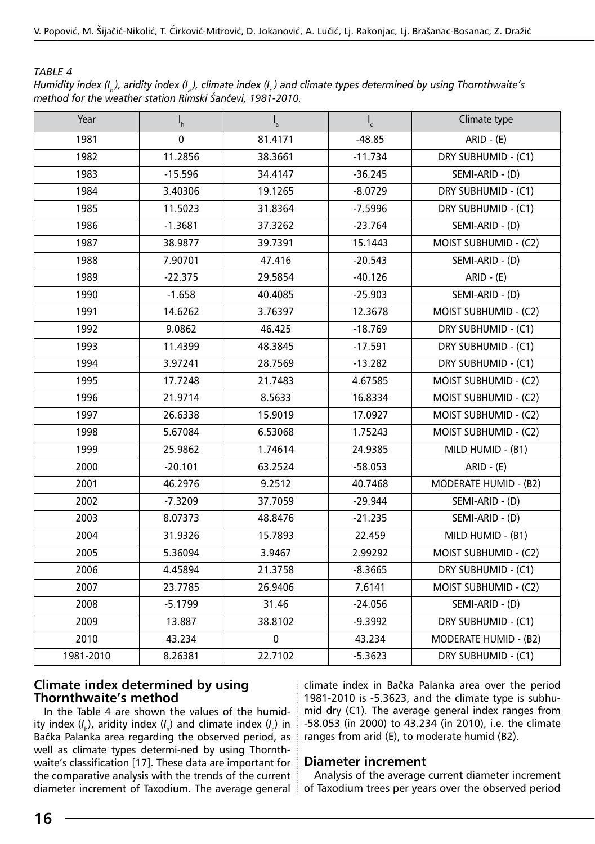#### *TABLE 4*

| ---------                                                 |  |                                                                                                                   |
|-----------------------------------------------------------|--|-------------------------------------------------------------------------------------------------------------------|
| method for the weather station Rimski Šančevi, 1981-2010. |  | Humidity index (I, ), aridity index (I¸), climate index (I¸) and climate types determined by using Thornthwaite's |
|                                                           |  |                                                                                                                   |

| $ARID - (E)$<br>1981<br>0<br>81.4171<br>$-48.85$<br>DRY SUBHUMID - (C1)<br>1982<br>11.2856<br>38.3661<br>$-11.734$<br>1983<br>$-15.596$<br>34.4147<br>$-36.245$<br>SEMI-ARID - (D)<br>1984<br>3.40306<br>19.1265<br>$-8.0729$<br>DRY SUBHUMID - (C1)<br>1985<br>11.5023<br>31.8364<br>$-7.5996$<br>DRY SUBHUMID - (C1)<br>1986<br>$-1.3681$<br>37.3262<br>$-23.764$<br>SEMI-ARID - (D)<br>1987<br>38.9877<br>39.7391<br>15.1443<br>MOIST SUBHUMID - (C2)<br>7.90701<br>47.416<br>1988<br>$-20.543$<br>SEMI-ARID - (D)<br>$-22.375$<br>29.5854<br>1989<br>$-40.126$<br>$ARID - (E)$<br>1990<br>$-1.658$<br>40.4085<br>$-25.903$<br>SEMI-ARID - (D)<br>1991<br>14.6262<br>3.76397<br>12.3678<br>MOIST SUBHUMID - (C2)<br>1992<br>9.0862<br>46.425<br>$-18.769$<br>DRY SUBHUMID - (C1)<br>1993<br>11.4399<br>48.3845<br>$-17.591$<br>DRY SUBHUMID - (C1)<br>28.7569<br>1994<br>3.97241<br>$-13.282$<br>DRY SUBHUMID - (C1)<br>MOIST SUBHUMID - (C2)<br>1995<br>17.7248<br>21.7483<br>4.67585<br>1996<br>21.9714<br>8.5633<br>MOIST SUBHUMID - (C2)<br>16.8334<br>26.6338<br>15.9019<br>1997<br>17.0927<br>MOIST SUBHUMID - (C2)<br>5.67084<br>6.53068<br>MOIST SUBHUMID - (C2)<br>1998<br>1.75243<br>1999<br>25.9862<br>1.74614<br>24.9385<br>MILD HUMID - (B1)<br>2000<br>$-20.101$<br>63.2524<br>$-58.053$<br>$ARID - (E)$<br>MODERATE HUMID - (B2)<br>2001<br>46.2976<br>9.2512<br>40.7468<br>37.7059<br>2002<br>$-7.3209$<br>$-29.944$<br>SEMI-ARID - (D)<br>2003<br>8.07373<br>48.8476<br>$-21.235$<br>SEMI-ARID - (D)<br>2004<br>31.9326<br>15.7893<br>22.459<br>MILD HUMID - (B1)<br>MOIST SUBHUMID - (C2)<br>2005<br>5.36094<br>3.9467<br>2.99292<br>2006<br>4.45894<br>21.3758<br>$-8.3665$<br>DRY SUBHUMID - (C1)<br>2007<br>MOIST SUBHUMID - (C2)<br>23.7785<br>26.9406<br>7.6141<br>31.46<br>SEMI-ARID - (D)<br>2008<br>$-5.1799$<br>$-24.056$<br>2009<br>13.887<br>38.8102<br>$-9.3992$<br>DRY SUBHUMID - (C1)<br>2010<br>43.234<br>$\pmb{0}$<br>MODERATE HUMID - (B2)<br>43.234<br>1981-2010<br>22.7102<br>8.26381<br>$-5.3623$<br>DRY SUBHUMID - (C1) | Year | $I_h$ | $\mathsf{I}_{\mathsf{a}}$ | $\frac{1}{c}$ | Climate type |
|-------------------------------------------------------------------------------------------------------------------------------------------------------------------------------------------------------------------------------------------------------------------------------------------------------------------------------------------------------------------------------------------------------------------------------------------------------------------------------------------------------------------------------------------------------------------------------------------------------------------------------------------------------------------------------------------------------------------------------------------------------------------------------------------------------------------------------------------------------------------------------------------------------------------------------------------------------------------------------------------------------------------------------------------------------------------------------------------------------------------------------------------------------------------------------------------------------------------------------------------------------------------------------------------------------------------------------------------------------------------------------------------------------------------------------------------------------------------------------------------------------------------------------------------------------------------------------------------------------------------------------------------------------------------------------------------------------------------------------------------------------------------------------------------------------------------------------------------------------------------------------------------------------------------------------------------------------------------------------------------------------------------------------------------------------------------|------|-------|---------------------------|---------------|--------------|
|                                                                                                                                                                                                                                                                                                                                                                                                                                                                                                                                                                                                                                                                                                                                                                                                                                                                                                                                                                                                                                                                                                                                                                                                                                                                                                                                                                                                                                                                                                                                                                                                                                                                                                                                                                                                                                                                                                                                                                                                                                                                   |      |       |                           |               |              |
|                                                                                                                                                                                                                                                                                                                                                                                                                                                                                                                                                                                                                                                                                                                                                                                                                                                                                                                                                                                                                                                                                                                                                                                                                                                                                                                                                                                                                                                                                                                                                                                                                                                                                                                                                                                                                                                                                                                                                                                                                                                                   |      |       |                           |               |              |
|                                                                                                                                                                                                                                                                                                                                                                                                                                                                                                                                                                                                                                                                                                                                                                                                                                                                                                                                                                                                                                                                                                                                                                                                                                                                                                                                                                                                                                                                                                                                                                                                                                                                                                                                                                                                                                                                                                                                                                                                                                                                   |      |       |                           |               |              |
|                                                                                                                                                                                                                                                                                                                                                                                                                                                                                                                                                                                                                                                                                                                                                                                                                                                                                                                                                                                                                                                                                                                                                                                                                                                                                                                                                                                                                                                                                                                                                                                                                                                                                                                                                                                                                                                                                                                                                                                                                                                                   |      |       |                           |               |              |
|                                                                                                                                                                                                                                                                                                                                                                                                                                                                                                                                                                                                                                                                                                                                                                                                                                                                                                                                                                                                                                                                                                                                                                                                                                                                                                                                                                                                                                                                                                                                                                                                                                                                                                                                                                                                                                                                                                                                                                                                                                                                   |      |       |                           |               |              |
|                                                                                                                                                                                                                                                                                                                                                                                                                                                                                                                                                                                                                                                                                                                                                                                                                                                                                                                                                                                                                                                                                                                                                                                                                                                                                                                                                                                                                                                                                                                                                                                                                                                                                                                                                                                                                                                                                                                                                                                                                                                                   |      |       |                           |               |              |
|                                                                                                                                                                                                                                                                                                                                                                                                                                                                                                                                                                                                                                                                                                                                                                                                                                                                                                                                                                                                                                                                                                                                                                                                                                                                                                                                                                                                                                                                                                                                                                                                                                                                                                                                                                                                                                                                                                                                                                                                                                                                   |      |       |                           |               |              |
|                                                                                                                                                                                                                                                                                                                                                                                                                                                                                                                                                                                                                                                                                                                                                                                                                                                                                                                                                                                                                                                                                                                                                                                                                                                                                                                                                                                                                                                                                                                                                                                                                                                                                                                                                                                                                                                                                                                                                                                                                                                                   |      |       |                           |               |              |
|                                                                                                                                                                                                                                                                                                                                                                                                                                                                                                                                                                                                                                                                                                                                                                                                                                                                                                                                                                                                                                                                                                                                                                                                                                                                                                                                                                                                                                                                                                                                                                                                                                                                                                                                                                                                                                                                                                                                                                                                                                                                   |      |       |                           |               |              |
|                                                                                                                                                                                                                                                                                                                                                                                                                                                                                                                                                                                                                                                                                                                                                                                                                                                                                                                                                                                                                                                                                                                                                                                                                                                                                                                                                                                                                                                                                                                                                                                                                                                                                                                                                                                                                                                                                                                                                                                                                                                                   |      |       |                           |               |              |
|                                                                                                                                                                                                                                                                                                                                                                                                                                                                                                                                                                                                                                                                                                                                                                                                                                                                                                                                                                                                                                                                                                                                                                                                                                                                                                                                                                                                                                                                                                                                                                                                                                                                                                                                                                                                                                                                                                                                                                                                                                                                   |      |       |                           |               |              |
|                                                                                                                                                                                                                                                                                                                                                                                                                                                                                                                                                                                                                                                                                                                                                                                                                                                                                                                                                                                                                                                                                                                                                                                                                                                                                                                                                                                                                                                                                                                                                                                                                                                                                                                                                                                                                                                                                                                                                                                                                                                                   |      |       |                           |               |              |
|                                                                                                                                                                                                                                                                                                                                                                                                                                                                                                                                                                                                                                                                                                                                                                                                                                                                                                                                                                                                                                                                                                                                                                                                                                                                                                                                                                                                                                                                                                                                                                                                                                                                                                                                                                                                                                                                                                                                                                                                                                                                   |      |       |                           |               |              |
|                                                                                                                                                                                                                                                                                                                                                                                                                                                                                                                                                                                                                                                                                                                                                                                                                                                                                                                                                                                                                                                                                                                                                                                                                                                                                                                                                                                                                                                                                                                                                                                                                                                                                                                                                                                                                                                                                                                                                                                                                                                                   |      |       |                           |               |              |
|                                                                                                                                                                                                                                                                                                                                                                                                                                                                                                                                                                                                                                                                                                                                                                                                                                                                                                                                                                                                                                                                                                                                                                                                                                                                                                                                                                                                                                                                                                                                                                                                                                                                                                                                                                                                                                                                                                                                                                                                                                                                   |      |       |                           |               |              |
|                                                                                                                                                                                                                                                                                                                                                                                                                                                                                                                                                                                                                                                                                                                                                                                                                                                                                                                                                                                                                                                                                                                                                                                                                                                                                                                                                                                                                                                                                                                                                                                                                                                                                                                                                                                                                                                                                                                                                                                                                                                                   |      |       |                           |               |              |
|                                                                                                                                                                                                                                                                                                                                                                                                                                                                                                                                                                                                                                                                                                                                                                                                                                                                                                                                                                                                                                                                                                                                                                                                                                                                                                                                                                                                                                                                                                                                                                                                                                                                                                                                                                                                                                                                                                                                                                                                                                                                   |      |       |                           |               |              |
|                                                                                                                                                                                                                                                                                                                                                                                                                                                                                                                                                                                                                                                                                                                                                                                                                                                                                                                                                                                                                                                                                                                                                                                                                                                                                                                                                                                                                                                                                                                                                                                                                                                                                                                                                                                                                                                                                                                                                                                                                                                                   |      |       |                           |               |              |
|                                                                                                                                                                                                                                                                                                                                                                                                                                                                                                                                                                                                                                                                                                                                                                                                                                                                                                                                                                                                                                                                                                                                                                                                                                                                                                                                                                                                                                                                                                                                                                                                                                                                                                                                                                                                                                                                                                                                                                                                                                                                   |      |       |                           |               |              |
|                                                                                                                                                                                                                                                                                                                                                                                                                                                                                                                                                                                                                                                                                                                                                                                                                                                                                                                                                                                                                                                                                                                                                                                                                                                                                                                                                                                                                                                                                                                                                                                                                                                                                                                                                                                                                                                                                                                                                                                                                                                                   |      |       |                           |               |              |
|                                                                                                                                                                                                                                                                                                                                                                                                                                                                                                                                                                                                                                                                                                                                                                                                                                                                                                                                                                                                                                                                                                                                                                                                                                                                                                                                                                                                                                                                                                                                                                                                                                                                                                                                                                                                                                                                                                                                                                                                                                                                   |      |       |                           |               |              |
|                                                                                                                                                                                                                                                                                                                                                                                                                                                                                                                                                                                                                                                                                                                                                                                                                                                                                                                                                                                                                                                                                                                                                                                                                                                                                                                                                                                                                                                                                                                                                                                                                                                                                                                                                                                                                                                                                                                                                                                                                                                                   |      |       |                           |               |              |
|                                                                                                                                                                                                                                                                                                                                                                                                                                                                                                                                                                                                                                                                                                                                                                                                                                                                                                                                                                                                                                                                                                                                                                                                                                                                                                                                                                                                                                                                                                                                                                                                                                                                                                                                                                                                                                                                                                                                                                                                                                                                   |      |       |                           |               |              |
|                                                                                                                                                                                                                                                                                                                                                                                                                                                                                                                                                                                                                                                                                                                                                                                                                                                                                                                                                                                                                                                                                                                                                                                                                                                                                                                                                                                                                                                                                                                                                                                                                                                                                                                                                                                                                                                                                                                                                                                                                                                                   |      |       |                           |               |              |
|                                                                                                                                                                                                                                                                                                                                                                                                                                                                                                                                                                                                                                                                                                                                                                                                                                                                                                                                                                                                                                                                                                                                                                                                                                                                                                                                                                                                                                                                                                                                                                                                                                                                                                                                                                                                                                                                                                                                                                                                                                                                   |      |       |                           |               |              |
|                                                                                                                                                                                                                                                                                                                                                                                                                                                                                                                                                                                                                                                                                                                                                                                                                                                                                                                                                                                                                                                                                                                                                                                                                                                                                                                                                                                                                                                                                                                                                                                                                                                                                                                                                                                                                                                                                                                                                                                                                                                                   |      |       |                           |               |              |
|                                                                                                                                                                                                                                                                                                                                                                                                                                                                                                                                                                                                                                                                                                                                                                                                                                                                                                                                                                                                                                                                                                                                                                                                                                                                                                                                                                                                                                                                                                                                                                                                                                                                                                                                                                                                                                                                                                                                                                                                                                                                   |      |       |                           |               |              |
|                                                                                                                                                                                                                                                                                                                                                                                                                                                                                                                                                                                                                                                                                                                                                                                                                                                                                                                                                                                                                                                                                                                                                                                                                                                                                                                                                                                                                                                                                                                                                                                                                                                                                                                                                                                                                                                                                                                                                                                                                                                                   |      |       |                           |               |              |
|                                                                                                                                                                                                                                                                                                                                                                                                                                                                                                                                                                                                                                                                                                                                                                                                                                                                                                                                                                                                                                                                                                                                                                                                                                                                                                                                                                                                                                                                                                                                                                                                                                                                                                                                                                                                                                                                                                                                                                                                                                                                   |      |       |                           |               |              |
|                                                                                                                                                                                                                                                                                                                                                                                                                                                                                                                                                                                                                                                                                                                                                                                                                                                                                                                                                                                                                                                                                                                                                                                                                                                                                                                                                                                                                                                                                                                                                                                                                                                                                                                                                                                                                                                                                                                                                                                                                                                                   |      |       |                           |               |              |
|                                                                                                                                                                                                                                                                                                                                                                                                                                                                                                                                                                                                                                                                                                                                                                                                                                                                                                                                                                                                                                                                                                                                                                                                                                                                                                                                                                                                                                                                                                                                                                                                                                                                                                                                                                                                                                                                                                                                                                                                                                                                   |      |       |                           |               |              |

#### **Climate index determined by using Thornthwaite's method**

In the Table 4 are shown the values of the humidity index (/<sub>h</sub>), aridity index (/<sub>a</sub>) and climate index (/<sub>c</sub>) in Bačka Palanka area regarding the observed period, as well as climate types determi-ned by using Thornthwaite's classification [17]. These data are important for the comparative analysis with the trends of the current diameter increment of Taxodium. The average general climate index in Bačka Palanka area over the period 1981-2010 is -5.3623, and the climate type is subhumid dry (C1). The average general index ranges from -58.053 (in 2000) to 43.234 (in 2010), i.e. the climate ranges from arid (E), to moderate humid (B2).

#### **Diameter increment**

Analysis of the average current diameter increment of Taxodium trees per years over the observed period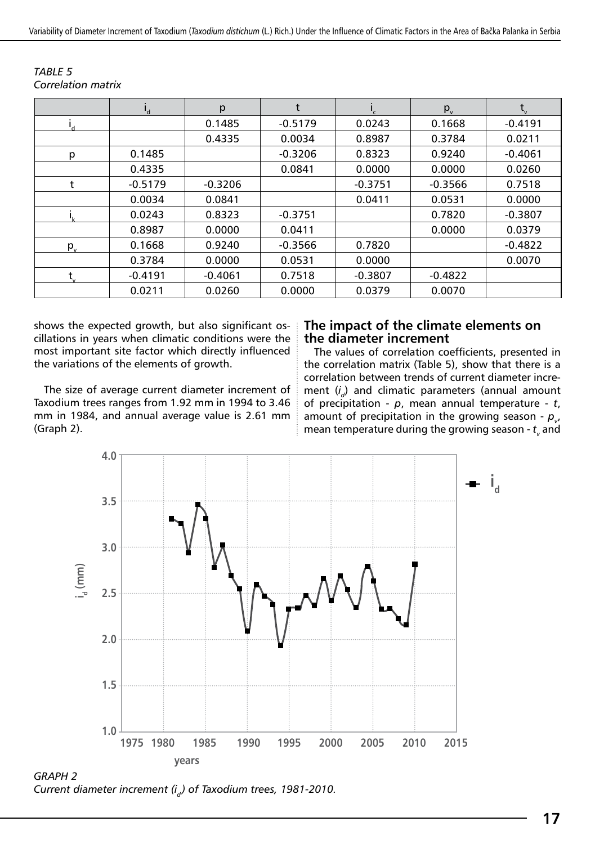|         | $\mathbf{I}_{d}$ | p         |           | ٠.        | $p_{v}$   |           |
|---------|------------------|-----------|-----------|-----------|-----------|-----------|
|         |                  | 0.1485    | $-0.5179$ | 0.0243    | 0.1668    | $-0.4191$ |
|         |                  | 0.4335    | 0.0034    | 0.8987    | 0.3784    | 0.0211    |
| p       | 0.1485           |           | $-0.3206$ | 0.8323    | 0.9240    | $-0.4061$ |
|         | 0.4335           |           | 0.0841    | 0.0000    | 0.0000    | 0.0260    |
|         | $-0.5179$        | $-0.3206$ |           | $-0.3751$ | $-0.3566$ | 0.7518    |
|         | 0.0034           | 0.0841    |           | 0.0411    | 0.0531    | 0.0000    |
|         | 0.0243           | 0.8323    | $-0.3751$ |           | 0.7820    | $-0.3807$ |
|         | 0.8987           | 0.0000    | 0.0411    |           | 0.0000    | 0.0379    |
| $p_{v}$ | 0.1668           | 0.9240    | $-0.3566$ | 0.7820    |           | $-0.4822$ |
|         | 0.3784           | 0.0000    | 0.0531    | 0.0000    |           | 0.0070    |
|         | $-0.4191$        | $-0.4061$ | 0.7518    | $-0.3807$ | $-0.4822$ |           |
|         | 0.0211           | 0.0260    | 0.0000    | 0.0379    | 0.0070    |           |

*TABLE 5 Correlation matrix*

shows the expected growth, but also significant oscillations in years when climatic conditions were the most important site factor which directly influenced the variations of the elements of growth.

The size of average current diameter increment of Taxodium trees ranges from 1.92 mm in 1994 to 3.46 mm in 1984, and annual average value is 2.61 mm (Graph 2).

#### **The impact of the climate elements on the diameter increment**

The values of correlation coefficients, presented in the correlation matrix (Table 5), show that there is a correlation between trends of current diameter increment (*i <sup>d</sup>*) and climatic parameters (annual amount of precipitation - *p*, mean annual temperature - *t*, amount of precipitation in the growing season -  $\rho_{_{\nu'}}$ mean temperature during the growing season -  $t_{_{\mathrm{v}}}$  and



*GRAPH 2 Current diameter increment (i<sup>d</sup> ) of Taxodium trees, 1981-2010.*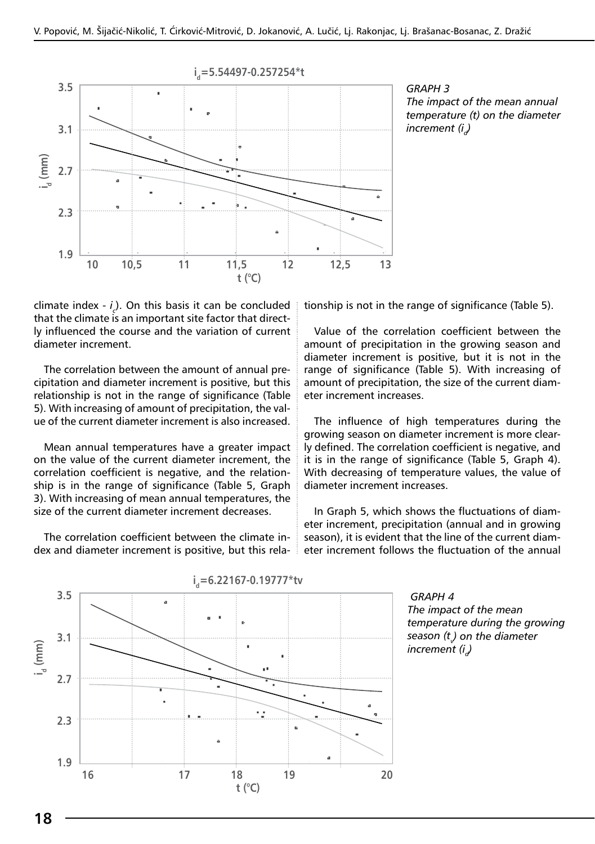



climate index - *i c* ). On this basis it can be concluded that the climate is an important site factor that directly influenced the course and the variation of current diameter increment.

The correlation between the amount of annual precipitation and diameter increment is positive, but this relationship is not in the range of significance (Table 5). With increasing of amount of precipitation, the value of the current diameter increment is also increased.

Mean annual temperatures have a greater impact on the value of the current diameter increment, the correlation coefficient is negative, and the relationship is in the range of significance (Table 5, Graph 3). With increasing of mean annual temperatures, the size of the current diameter increment decreases.

The correlation coefficient between the climate index and diameter increment is positive, but this relationship is not in the range of significance (Table 5).

Value of the correlation coefficient between the amount of precipitation in the growing season and diameter increment is positive, but it is not in the range of significance (Table 5). With increasing of amount of precipitation, the size of the current diameter increment increases.

The influence of high temperatures during the growing season on diameter increment is more clearly defined. The correlation coefficient is negative, and it is in the range of significance (Table 5, Graph 4). With decreasing of temperature values, the value of diameter increment increases.

In Graph 5, which shows the fluctuations of diameter increment, precipitation (annual and in growing season), it is evident that the line of the current diameter increment follows the fluctuation of the annual



 *GRAPH 4 The impact of the mean temperature during the growing season (t<sup>v</sup> ) on the diameter increment* (*i*<sub> $d$ </sub>)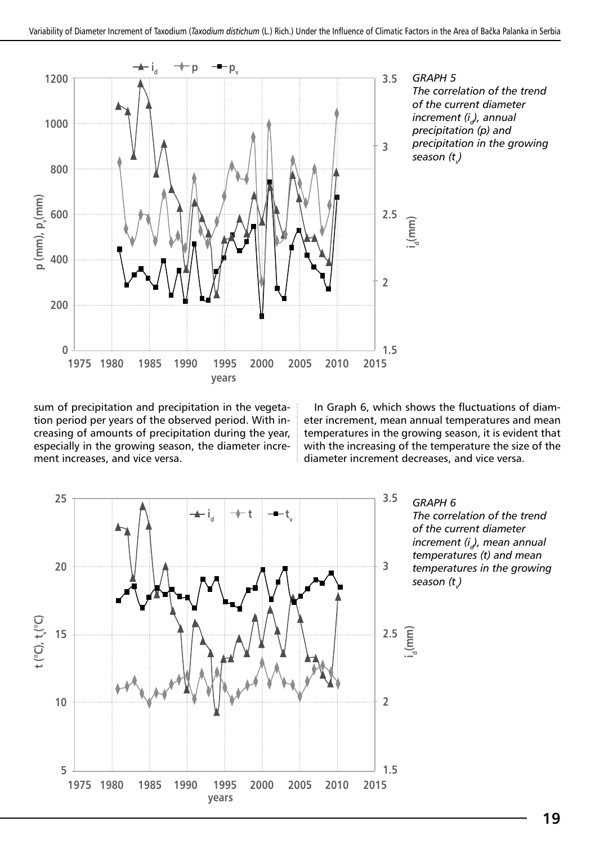

*GRAPH 5 The correlation of the trend of the current diameter increment (id), annual precipitation (p) and precipitation in the growing season (t<sup>v</sup> )*

sum of precipitation and precipitation in the vegetation period per years of the observed period. With increasing of amounts of precipitation during the year, especially in the growing season, the diameter increment increases, and vice versa.

In Graph 6, which shows the fluctuations of diameter increment, mean annual temperatures and mean temperatures in the growing season, it is evident that with the increasing of the temperature the size of the diameter increment decreases, and vice versa.



*GRAPH 6 The correlation of the trend of the current diameter increment (id), mean annual temperatures (t) and mean temperatures in the growing season (t<sup>v</sup> )*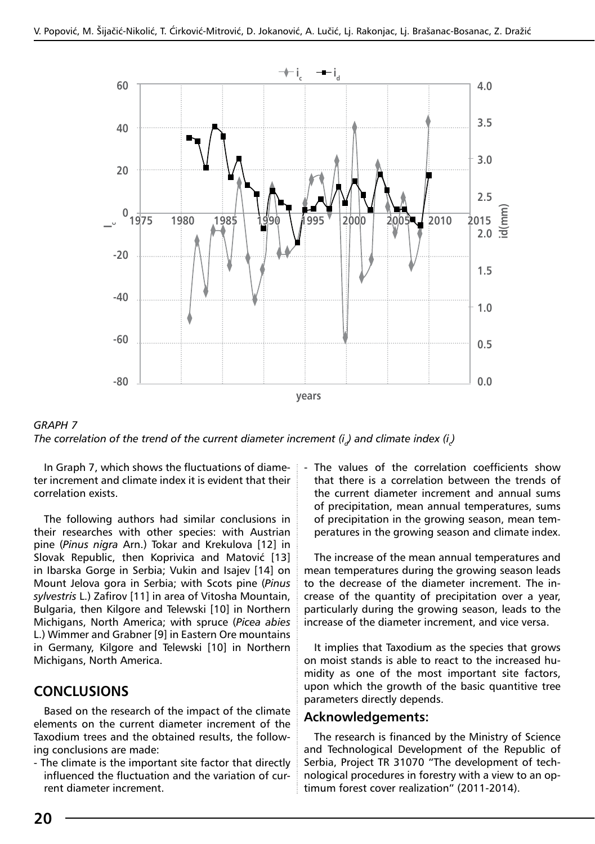



ter increment and climate index it is evident that their correlation exists.

The following authors had similar conclusions in their researches with other species: with Austrian pine (*Pinus nigra* Arn.) Tokar and Krekulova [12] in Slovak Republic, then Koprivica and Matović [13] in Ibarska Gorge in Serbia; Vukin and Isajev [14] on Mount Jelova gora in Serbia; with Scots pine (*Pinus sylvestris* L.) Zafirov [11] in area of Vitosha Mountain, Bulgaria, then Kilgore and Telewski [10] in Northern Michigans, North America; with spruce (*Picea abies* L.) Wimmer and Grabner [9] in Eastern Ore mountains in Germany, Kilgore and Telewski [10] in Northern Michigans, North America.

#### **CONCLUSIONS**

Based on the research of the impact of the climate elements on the current diameter increment of the Taxodium trees and the obtained results, the following conclusions are made:

- The climate is the important site factor that directly influenced the fluctuation and the variation of current diameter increment.

In Graph 7, which shows the fluctuations of diame-  $\frac{1}{2}$  - The values of the correlation coefficients show that there is a correlation between the trends of the current diameter increment and annual sums of precipitation, mean annual temperatures, sums of precipitation in the growing season, mean temperatures in the growing season and climate index.

> The increase of the mean annual temperatures and mean temperatures during the growing season leads to the decrease of the diameter increment. The increase of the quantity of precipitation over a year, particularly during the growing season, leads to the increase of the diameter increment, and vice versa.

> It implies that Taxodium as the species that grows on moist stands is able to react to the increased humidity as one of the most important site factors, upon which the growth of the basic quantitive tree parameters directly depends.

#### **Acknowledgements:**

The research is financed by the Ministry of Science and Technological Development of the Republic of Serbia, Project TR 31070 "The development of technological procedures in forestry with a view to an optimum forest cover realization" (2011-2014).